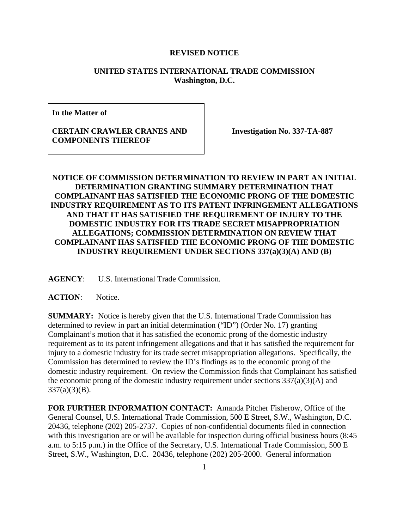## **REVISED NOTICE**

## **UNITED STATES INTERNATIONAL TRADE COMMISSION Washington, D.C.**

**In the Matter of**

**CERTAIN CRAWLER CRANES AND COMPONENTS THEREOF**

**Investigation No. 337-TA-887**

## **NOTICE OF COMMISSION DETERMINATION TO REVIEW IN PART AN INITIAL DETERMINATION GRANTING SUMMARY DETERMINATION THAT COMPLAINANT HAS SATISFIED THE ECONOMIC PRONG OF THE DOMESTIC INDUSTRY REQUIREMENT AS TO ITS PATENT INFRINGEMENT ALLEGATIONS AND THAT IT HAS SATISFIED THE REQUIREMENT OF INJURY TO THE DOMESTIC INDUSTRY FOR ITS TRADE SECRET MISAPPROPRIATION ALLEGATIONS; COMMISSION DETERMINATION ON REVIEW THAT COMPLAINANT HAS SATISFIED THE ECONOMIC PRONG OF THE DOMESTIC INDUSTRY REQUIREMENT UNDER SECTIONS 337(a)(3)(A) AND (B)**

**AGENCY**: U.S. International Trade Commission.

## **ACTION**: Notice.

**SUMMARY:** Notice is hereby given that the U.S. International Trade Commission has determined to review in part an initial determination ("ID") (Order No. 17) granting Complainant's motion that it has satisfied the economic prong of the domestic industry requirement as to its patent infringement allegations and that it has satisfied the requirement for injury to a domestic industry for its trade secret misappropriation allegations. Specifically, the Commission has determined to review the ID's findings as to the economic prong of the domestic industry requirement. On review the Commission finds that Complainant has satisfied the economic prong of the domestic industry requirement under sections  $337(a)(3)(A)$  and  $337(a)(3)(B)$ .

**FOR FURTHER INFORMATION CONTACT:** Amanda Pitcher Fisherow, Office of the General Counsel, U.S. International Trade Commission, 500 E Street, S.W., Washington, D.C. 20436, telephone (202) 205-2737. Copies of non-confidential documents filed in connection with this investigation are or will be available for inspection during official business hours  $(8.45)$ a.m. to 5:15 p.m.) in the Office of the Secretary, U.S. International Trade Commission, 500 E Street, S.W., Washington, D.C. 20436, telephone (202) 205-2000. General information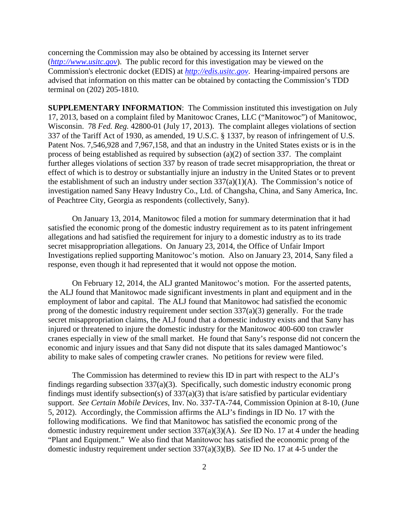concerning the Commission may also be obtained by accessing its Internet server (*[http://www.usitc.gov](http://www.usitc.gov/)*). The public record for this investigation may be viewed on the Commission's electronic docket (EDIS) at *[http://edis.usitc.gov](http://edis.usitc.gov/)*. Hearing-impaired persons are advised that information on this matter can be obtained by contacting the Commission's TDD terminal on (202) 205-1810.

**SUPPLEMENTARY INFORMATION**: The Commission instituted this investigation on July 17, 2013, based on a complaint filed by Manitowoc Cranes, LLC ("Manitowoc") of Manitowoc, Wisconsin. 78 *Fed. Reg.* 42800-01 (July 17, 2013). The complaint alleges violations of section 337 of the Tariff Act of 1930, as amended, 19 U.S.C. § 1337, by reason of infringement of U.S. Patent Nos. 7,546,928 and 7,967,158, and that an industry in the United States exists or is in the process of being established as required by subsection (a)(2) of section 337. The complaint further alleges violations of section 337 by reason of trade secret misappropriation, the threat or effect of which is to destroy or substantially injure an industry in the United States or to prevent the establishment of such an industry under section  $337(a)(1)(A)$ . The Commission's notice of investigation named Sany Heavy Industry Co., Ltd. of Changsha, China, and Sany America, Inc. of Peachtree City, Georgia as respondents (collectively, Sany).

On January 13, 2014, Manitowoc filed a motion for summary determination that it had satisfied the economic prong of the domestic industry requirement as to its patent infringement allegations and had satisfied the requirement for injury to a domestic industry as to its trade secret misappropriation allegations. On January 23, 2014, the Office of Unfair Import Investigations replied supporting Manitowoc's motion. Also on January 23, 2014, Sany filed a response, even though it had represented that it would not oppose the motion.

On February 12, 2014, the ALJ granted Manitowoc's motion. For the asserted patents, the ALJ found that Manitowoc made significant investments in plant and equipment and in the employment of labor and capital. The ALJ found that Manitowoc had satisfied the economic prong of the domestic industry requirement under section  $337(a)(3)$  generally. For the trade secret misappropriation claims, the ALJ found that a domestic industry exists and that Sany has injured or threatened to injure the domestic industry for the Manitowoc 400-600 ton crawler cranes especially in view of the small market. He found that Sany's response did not concern the economic and injury issues and that Sany did not dispute that its sales damaged Mantiowoc's ability to make sales of competing crawler cranes. No petitions for review were filed.

The Commission has determined to review this ID in part with respect to the ALJ's findings regarding subsection 337(a)(3). Specifically, such domestic industry economic prong findings must identify subsection(s) of  $337(a)(3)$  that is/are satisfied by particular evidentiary support. *See Certain Mobile Devices*, Inv. No. 337-TA-744, Commission Opinion at 8-10, (June 5, 2012). Accordingly, the Commission affirms the ALJ's findings in ID No. 17 with the following modifications. We find that Manitowoc has satisfied the economic prong of the domestic industry requirement under section 337(a)(3)(A). *See* ID No. 17 at 4 under the heading "Plant and Equipment." We also find that Manitowoc has satisfied the economic prong of the domestic industry requirement under section 337(a)(3)(B). *See* ID No. 17 at 4-5 under the